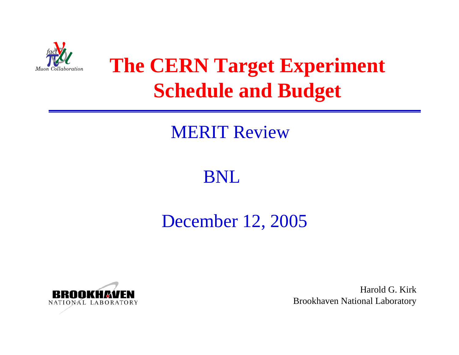

# **The CERN Target Experiment Schedule and Budget**

MERIT Review

### BNL

### December 12, 2005



Harold G. KirkBrookhaven National Laboratory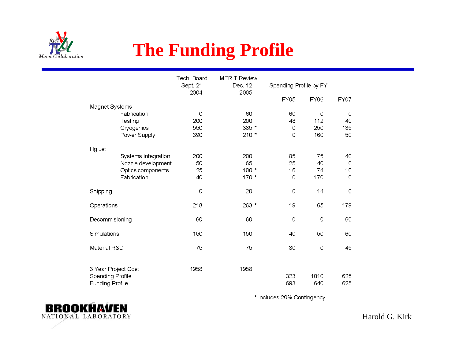

## **The Funding Profile**

|                                         |                     | Tech. Board<br>Sept. 21<br>2004 | <b>MERIT Review</b><br>Dec. 12<br>2005 | Spending Profile by FY |                     |             |
|-----------------------------------------|---------------------|---------------------------------|----------------------------------------|------------------------|---------------------|-------------|
|                                         |                     |                                 |                                        | <b>FY05</b>            | <b>FY06</b>         | <b>FY07</b> |
| Magnet Systems                          |                     |                                 |                                        |                        |                     |             |
|                                         | Fabrication         | $\overline{0}$                  | 60                                     | 60                     | 0                   | 0           |
|                                         | Testing             | 200                             | 200                                    | 48                     | 112                 | 40          |
|                                         | Cryogenics          | 550                             | 385 *                                  | 0                      | 250                 | 135         |
|                                         | Power Supply        | 390                             | $210 *$                                | $\mathbf 0$            | 160                 | 50          |
| Hg Jet                                  |                     |                                 |                                        |                        |                     |             |
|                                         | Systems integration | 200                             | 200                                    | 85                     | 75                  | 40          |
|                                         | Nozzle development  | 50                              | 65                                     | 25                     | 40                  | $\mathbf 0$ |
|                                         | Optics components   | 25                              | 100 *                                  | 16                     | 74                  | 10          |
|                                         | Fabrication         | 40                              | 170 *                                  | $\mathbf 0$            | 170                 | 0           |
| Shipping                                |                     | $\Omega$                        | 20                                     | $\Omega$               | 14                  | 6           |
| Operations                              |                     | 218                             | 263 *                                  | 19                     | 65                  | 179         |
| Decommisioning                          |                     | 60                              | 60                                     | $\Omega$               | $\mathbf 0$         | 60          |
|                                         | Simulations         |                                 | 150                                    | 40                     | 50                  | 60          |
| Material R&D                            |                     | 75                              | 75                                     | 30                     | $\mathsf{O}\xspace$ | 45          |
| 3 Year Project Cost<br>Spending Profile |                     | 1958                            | 1958                                   | 323                    | 1010                | 625         |
| <b>Funding Profile</b>                  |                     |                                 |                                        | 693                    | 640                 | 625         |

\* Includes 20% Contingency

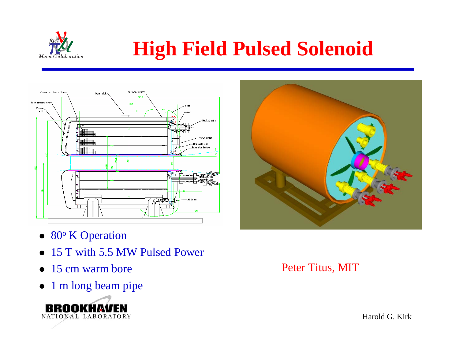

# **High Field Pulsed Solenoid**





- $\bullet$  80 $\rm^{\circ}$  K Operation
- $\bullet$ 15 T with 5.5 MW Pulsed Power
- $\bullet$ 15 cm warm bore
- $\bullet$ 1 m long beam pipe



#### Peter Titus, MIT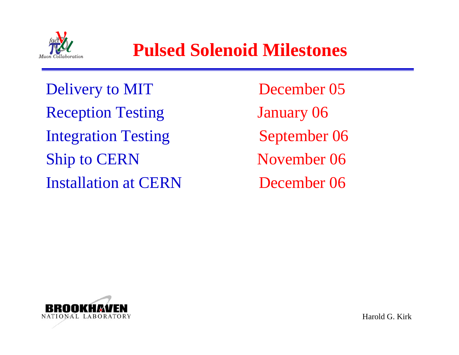

Delivery to MIT December 05 Reception Testing January 06 Integration Testing September 06 Ship to CERN November 06 Installation at CERN December 06

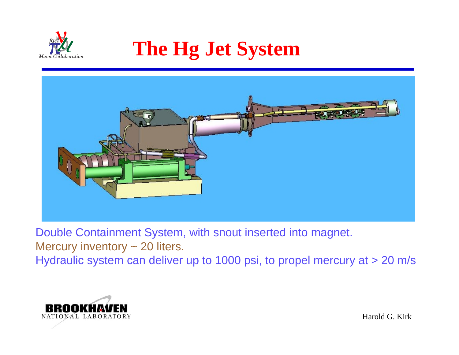

## **The Hg Jet System**



Double Containment System, with snout inserted into magnet. Mercury inventory  $\sim$  20 liters. Hydraulic system can deliver up to 1000 psi, to propel mercury at > 20 m/s

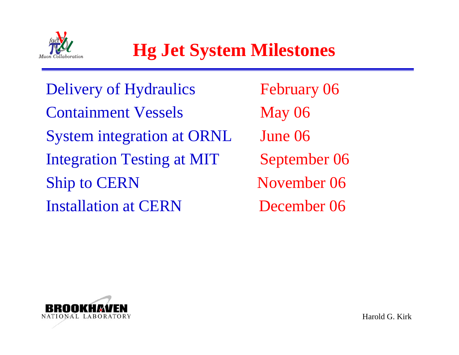

Delivery of Hydraulics February 06 **Containment Vessels** May 06 System integration at ORNL June 06 Integration Testing at MIT September 06 Ship to CERN November 06 Installation at CERN December 06

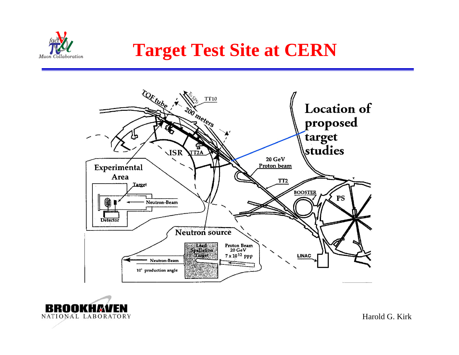

### **Target Test Site at CERN**



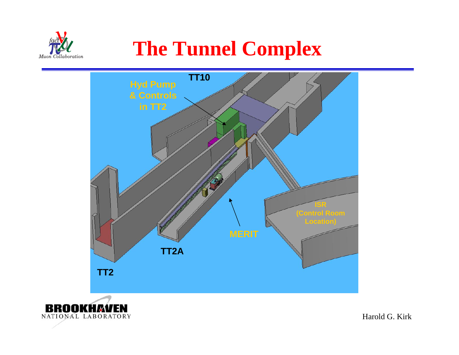## **The Tunnel Complex**





Muon Collaboration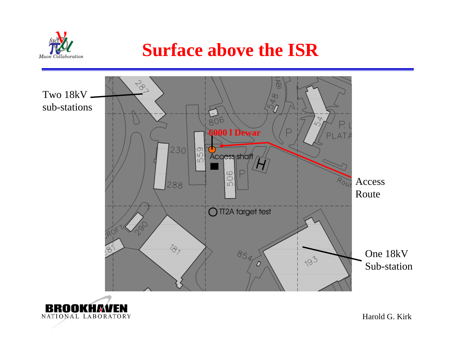

## **Surface above the ISR**



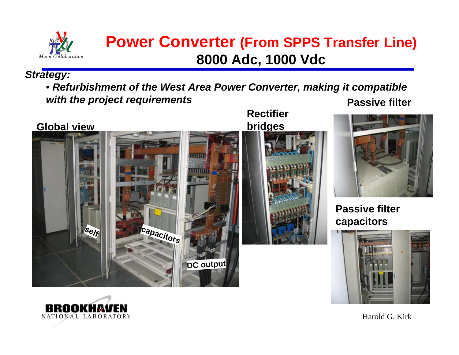

#### **Power Converter (From SPPS Transfer Line) 8000 Adc, 1000 Vdc**

#### *Strategy:*

**Passive filter**• *Refurbishment of the West Area Power Converter, making it compatible with the project requirements*





**Rectifier bridges**





**Passive filter capacitors**



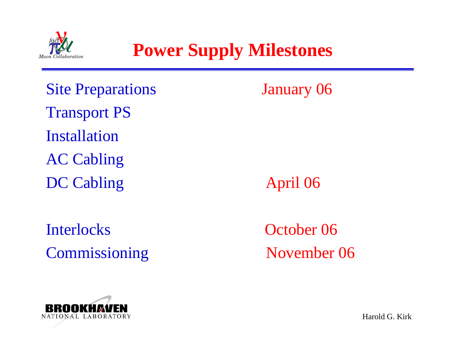

**Power Supply Milestones**

Site Preparations January 06 Transport PS InstallationAC Cabling DC Cabling April 06

Interlocks October 06Commissioning November 06

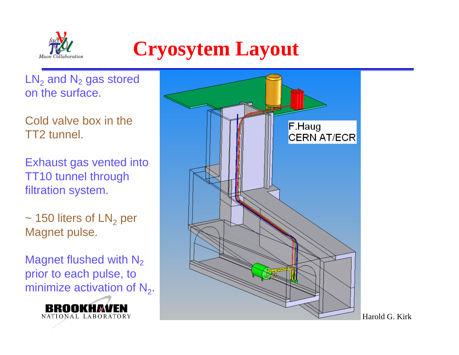

## **Cryosytem Layout**

LN $_{\rm 2}$  and N $_{\rm 2}$  gas stored on the surface.

- Cold valve box in theTT2 tunnel.
- Exhaust gas vented into TT10 tunnel through filtration system.
- $\sim$  150 liters of LN $_2$  per Magnet pulse.

Magnet flushed with  $\mathsf{N}_2$ prior to each pulse, to minimize activation of  $\mathsf{N}_2.$ 



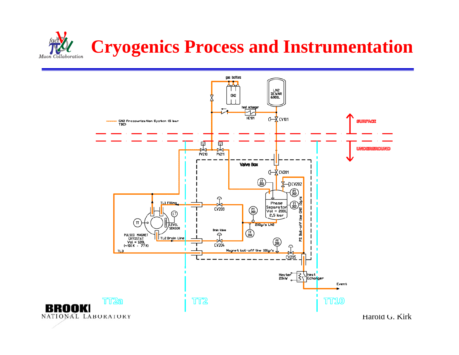#### **Cryogenics Process and Instrumentation**Muon Collaboration

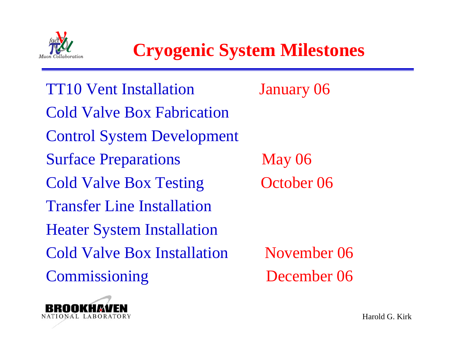

TT10 Vent Installation January 06 Cold Valve Box FabricationControl System Development Surface Preparations May 06 Cold Valve Box Testing Corober 06 Transfer Line InstallationHeater System Installation Cold Valve Box Installation November 06Commissioning December 06

NATIONAL LABORATORY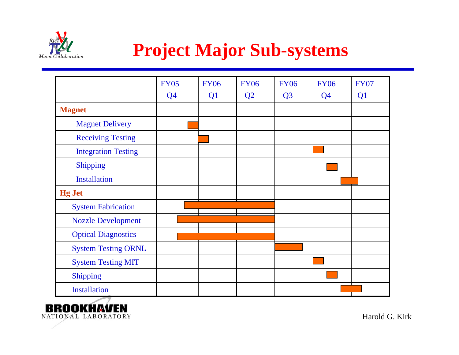

## **Project Major Sub-systems**

|                            | <b>FY05</b>    | <b>FY06</b>    | <b>FY06</b>    | <b>FY06</b>    | <b>FY06</b>    | <b>FY07</b>    |
|----------------------------|----------------|----------------|----------------|----------------|----------------|----------------|
|                            | Q <sub>4</sub> | Q <sub>1</sub> | Q <sub>2</sub> | Q <sub>3</sub> | Q <sub>4</sub> | Q <sub>1</sub> |
| <b>Magnet</b>              |                |                |                |                |                |                |
| <b>Magnet Delivery</b>     |                |                |                |                |                |                |
| <b>Receiving Testing</b>   |                |                |                |                |                |                |
| <b>Integration Testing</b> |                |                |                |                |                |                |
| Shipping                   |                |                |                |                |                |                |
| <b>Installation</b>        |                |                |                |                |                |                |
| <b>Hg Jet</b>              |                |                |                |                |                |                |
| <b>System Fabrication</b>  |                |                |                |                |                |                |
| <b>Nozzle Development</b>  |                |                |                |                |                |                |
| <b>Optical Diagnostics</b> |                |                |                |                |                |                |
| <b>System Testing ORNL</b> |                |                |                |                |                |                |
| <b>System Testing MIT</b>  |                |                |                |                |                |                |
| <b>Shipping</b>            |                |                |                |                |                |                |
| <b>Installation</b>        |                |                |                |                |                |                |